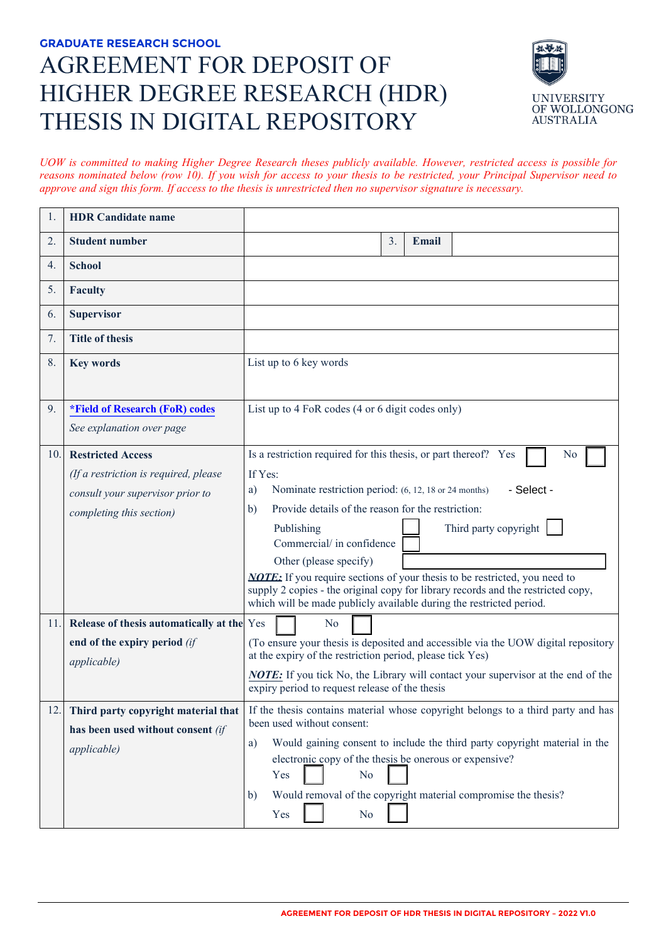# **GRADUATE RESEARCH SCHOOL**  AGREEMENT FOR DEPOSIT OF HIGHER DEGREE RESEARCH (HDR) THESIS IN DIGITAL REPOSITORY



*UOW is committed to making Higher Degree Research theses publicly available. However, restricted access is possible for reasons nominated below (row 10). If you wish for access to your thesis to be restricted, your Principal Supervisor need to approve and sign this form. If access to the thesis is unrestricted then no supervisor signature is necessary.* 

| 1.  | <b>HDR</b> Candidate name                    |                                                                                                                                                                                                                                              |
|-----|----------------------------------------------|----------------------------------------------------------------------------------------------------------------------------------------------------------------------------------------------------------------------------------------------|
| 2.  | <b>Student number</b>                        | 3.<br><b>Email</b>                                                                                                                                                                                                                           |
| 4.  | <b>School</b>                                |                                                                                                                                                                                                                                              |
| 5.  | <b>Faculty</b>                               |                                                                                                                                                                                                                                              |
| 6.  | <b>Supervisor</b>                            |                                                                                                                                                                                                                                              |
| 7.  | <b>Title of thesis</b>                       |                                                                                                                                                                                                                                              |
| 8.  | <b>Key words</b>                             | List up to 6 key words                                                                                                                                                                                                                       |
| 9.  | <i><b>*Field of Research (FoR) codes</b></i> | List up to 4 FoR codes (4 or 6 digit codes only)                                                                                                                                                                                             |
|     | See explanation over page                    |                                                                                                                                                                                                                                              |
| 10. | <b>Restricted Access</b>                     | Is a restriction required for this thesis, or part thereof? Yes<br>No                                                                                                                                                                        |
|     | (If a restriction is required, please        | If Yes:                                                                                                                                                                                                                                      |
|     | consult your supervisor prior to             | Nominate restriction period: (6, 12, 18 or 24 months)<br>- Select -<br>a)                                                                                                                                                                    |
|     | completing this section)                     | Provide details of the reason for the restriction:<br>b)                                                                                                                                                                                     |
|     |                                              | Third party copyright<br>Publishing<br>Commercial/ in confidence                                                                                                                                                                             |
|     |                                              | Other (please specify)                                                                                                                                                                                                                       |
|     |                                              | <b>NOTE:</b> If you require sections of your thesis to be restricted, you need to<br>supply 2 copies - the original copy for library records and the restricted copy,<br>which will be made publicly available during the restricted period. |
| 11. | Release of thesis automatically at the Yes   | No                                                                                                                                                                                                                                           |
|     | end of the expiry period (if                 | (To ensure your thesis is deposited and accessible via the UOW digital repository                                                                                                                                                            |
|     | <i>applicable</i> )                          | at the expiry of the restriction period, please tick Yes)                                                                                                                                                                                    |
|     |                                              | <b>NOTE:</b> If you tick No, the Library will contact your supervisor at the end of the<br>expiry period to request release of the thesis                                                                                                    |
| 12. |                                              | Third party copyright material that If the thesis contains material whose copyright belongs to a third party and has                                                                                                                         |
|     | has been used without consent (if            | been used without consent:                                                                                                                                                                                                                   |
|     | <i>applicable</i> )                          | Would gaining consent to include the third party copyright material in the<br>a)<br>electronic copy of the thesis be onerous or expensive?                                                                                                   |
|     |                                              | Yes<br>N <sub>o</sub>                                                                                                                                                                                                                        |
|     |                                              | Would removal of the copyright material compromise the thesis?<br>b)<br>Yes<br>N <sub>o</sub>                                                                                                                                                |